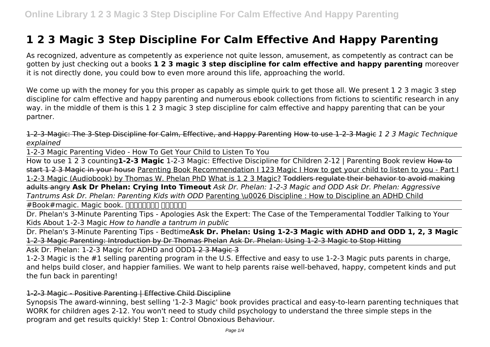# **1 2 3 Magic 3 Step Discipline For Calm Effective And Happy Parenting**

As recognized, adventure as competently as experience not quite lesson, amusement, as competently as contract can be gotten by just checking out a books **1 2 3 magic 3 step discipline for calm effective and happy parenting** moreover it is not directly done, you could bow to even more around this life, approaching the world.

We come up with the money for you this proper as capably as simple quirk to get those all. We present 1 2 3 magic 3 step discipline for calm effective and happy parenting and numerous ebook collections from fictions to scientific research in any way. in the middle of them is this 1 2 3 magic 3 step discipline for calm effective and happy parenting that can be your partner.

1-2-3-Magic: The 3-Step Discipline for Calm, Effective, and Happy Parenting How to use 1-2-3 Magic *1 2 3 Magic Technique explained*

1-2-3 Magic Parenting Video - How To Get Your Child to Listen To You

How to use 1 2 3 counting**1-2-3 Magic** 1-2-3 Magic: Effective Discipline for Children 2-12 | Parenting Book review How to start 1 2 3 Magic in your house Parenting Book Recommendation I 123 Magic I How to get your child to listen to you - Part I 1-2-3 Magic (Audiobook) by Thomas W. Phelan PhD What is 1 2 3 Magic? Toddlers regulate their behavior to avoid making adults angry **Ask Dr Phelan: Crying Into Timeout** *Ask Dr. Phelan: 1-2-3 Magic and ODD Ask Dr. Phelan: Aggressive Tantrums Ask Dr. Phelan: Parenting Kids with ODD* Parenting \u0026 Discipline : How to Discipline an ADHD Child

 $#Book#magic.$  Magic book.  $\Box\Box\Box\Box\Box\Box\Box\Box\Box$ 

Dr. Phelan's 3-Minute Parenting Tips - Apologies Ask the Expert: The Case of the Temperamental Toddler Talking to Your Kids About 1-2-3 Magic *How to handle a tantrum in public*

Dr. Phelan's 3-Minute Parenting Tips - Bedtime**Ask Dr. Phelan: Using 1-2-3 Magic with ADHD and ODD 1, 2, 3 Magic** 1-2-3 Magic Parenting: Introduction by Dr Thomas Phelan Ask Dr. Phelan: Using 1-2-3 Magic to Stop Hitting

Ask Dr. Phelan: 1-2-3 Magic for ADHD and ODD1 2 3 Magic 3

1-2-3 Magic is the #1 selling parenting program in the U.S. Effective and easy to use 1-2-3 Magic puts parents in charge, and helps build closer, and happier families. We want to help parents raise well-behaved, happy, competent kinds and put the fun back in parenting!

# 1-2-3 Magic - Positive Parenting | Effective Child Discipline

Synopsis The award-winning, best selling '1-2-3 Magic' book provides practical and easy-to-learn parenting techniques that WORK for children ages 2-12. You won't need to study child psychology to understand the three simple steps in the program and get results quickly! Step 1: Control Obnoxious Behaviour.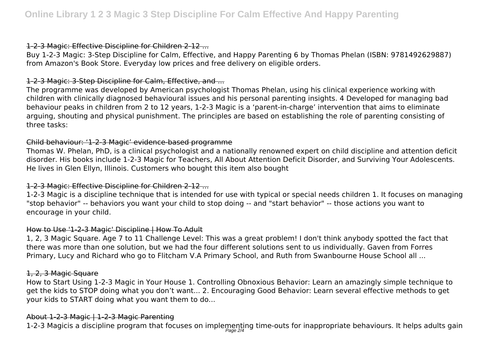#### 1-2-3 Magic: Effective Discipline for Children 2-12 ...

Buy 1-2-3 Magic: 3-Step Discipline for Calm, Effective, and Happy Parenting 6 by Thomas Phelan (ISBN: 9781492629887) from Amazon's Book Store. Everyday low prices and free delivery on eligible orders.

# 1-2-3 Magic: 3-Step Discipline for Calm, Effective, and ...

The programme was developed by American psychologist Thomas Phelan, using his clinical experience working with children with clinically diagnosed behavioural issues and his personal parenting insights. 4 Developed for managing bad behaviour peaks in children from 2 to 12 years, 1-2-3 Magic is a 'parent-in-charge' intervention that aims to eliminate arguing, shouting and physical punishment. The principles are based on establishing the role of parenting consisting of three tasks:

# Child behaviour: '1-2-3 Magic' evidence-based programme

Thomas W. Phelan, PhD, is a clinical psychologist and a nationally renowned expert on child discipline and attention deficit disorder. His books include 1-2-3 Magic for Teachers, All About Attention Deficit Disorder, and Surviving Your Adolescents. He lives in Glen Ellyn, Illinois. Customers who bought this item also bought

# 1-2-3 Magic: Effective Discipline for Children 2-12 ...

1-2-3 Magic is a discipline technique that is intended for use with typical or special needs children 1. It focuses on managing "stop behavior" -- behaviors you want your child to stop doing -- and "start behavior" -- those actions you want to encourage in your child.

# How to Use '1-2-3 Magic' Discipline | How To Adult

1, 2, 3 Magic Square. Age 7 to 11 Challenge Level: This was a great problem! I don't think anybody spotted the fact that there was more than one solution, but we had the four different solutions sent to us individually. Gaven from Forres Primary, Lucy and Richard who go to Flitcham V.A Primary School, and Ruth from Swanbourne House School all ...

# 1, 2, 3 Magic Square

How to Start Using 1-2-3 Magic in Your House 1. Controlling Obnoxious Behavior: Learn an amazingly simple technique to get the kids to STOP doing what you don't want... 2. Encouraging Good Behavior: Learn several effective methods to get your kids to START doing what you want them to do...

# About 1-2-3 Magic | 1-2-3 Magic Parenting

1-2-3 Magicis a discipline program that focuses on implementing time-outs for inappropriate behaviours. It helps adults gain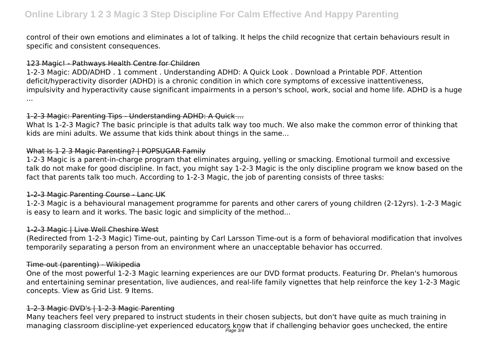# **Online Library 1 2 3 Magic 3 Step Discipline For Calm Effective And Happy Parenting**

control of their own emotions and eliminates a lot of talking. It helps the child recognize that certain behaviours result in specific and consistent consequences.

#### 123 Magic! - Pathways Health Centre for Children

1-2-3 Magic: ADD/ADHD . 1 comment . Understanding ADHD: A Quick Look . Download a Printable PDF. Attention deficit/hyperactivity disorder (ADHD) is a chronic condition in which core symptoms of excessive inattentiveness, impulsivity and hyperactivity cause significant impairments in a person's school, work, social and home life. ADHD is a huge ...

#### 1-2-3 Magic: Parenting Tips - Understanding ADHD: A Quick ...

What Is 1-2-3 Magic? The basic principle is that adults talk way too much. We also make the common error of thinking that kids are mini adults. We assume that kids think about things in the same...

# What Is 1 2 3 Magic Parenting? | POPSUGAR Family

1-2-3 Magic is a parent-in-charge program that eliminates arguing, yelling or smacking. Emotional turmoil and excessive talk do not make for good discipline. In fact, you might say 1-2-3 Magic is the only discipline program we know based on the fact that parents talk too much. According to 1-2-3 Magic, the job of parenting consists of three tasks:

# 1-2-3 Magic Parenting Course - Lanc UK

1-2-3 Magic is a behavioural management programme for parents and other carers of young children (2-12yrs). 1-2-3 Magic is easy to learn and it works. The basic logic and simplicity of the method...

# 1-2-3 Magic | Live Well Cheshire West

(Redirected from 1-2-3 Magic) Time-out, painting by Carl Larsson Time-out is a form of behavioral modification that involves temporarily separating a person from an environment where an unacceptable behavior has occurred.

# Time-out (parenting) - Wikipedia

One of the most powerful 1-2-3 Magic learning experiences are our DVD format products. Featuring Dr. Phelan's humorous and entertaining seminar presentation, live audiences, and real-life family vignettes that help reinforce the key 1-2-3 Magic concepts. View as Grid List. 9 Items.

# 1-2-3 Magic DVD's | 1-2-3 Magic Parenting

Many teachers feel very prepared to instruct students in their chosen subjects, but don't have quite as much training in managing classroom discipline-yet experienced educators know that if challenging behavior goes unchecked, the entire